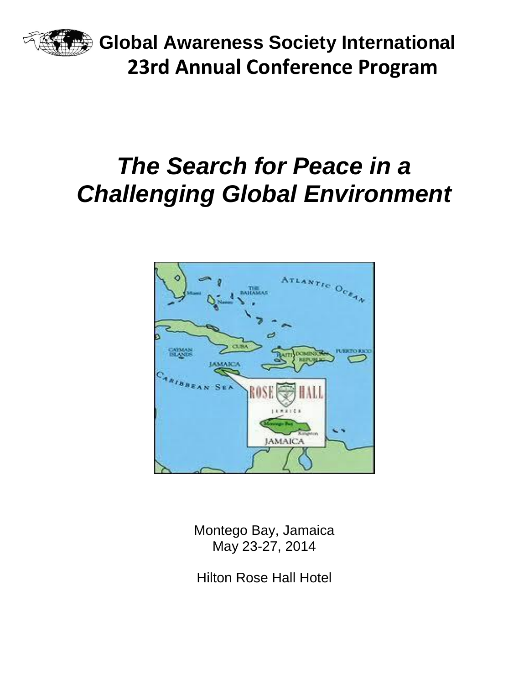

**Global Awareness Society International 23rd Annual Conference Program**

# *The Search for Peace in a Challenging Global Environment*



Montego Bay, Jamaica May 23-27, 2014

Hilton Rose Hall Hotel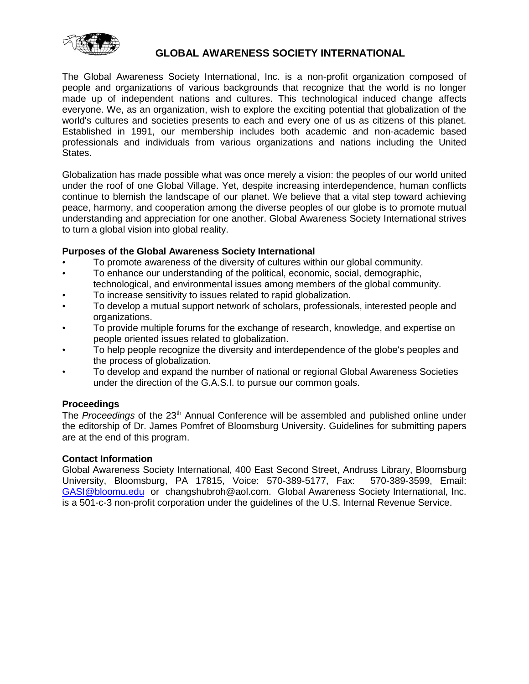

#### **GLOBAL AWARENESS SOCIETY INTERNATIONAL**

The Global Awareness Society International, Inc. is a non-profit organization composed of people and organizations of various backgrounds that recognize that the world is no longer made up of independent nations and cultures. This technological induced change affects everyone. We, as an organization, wish to explore the exciting potential that globalization of the world's cultures and societies presents to each and every one of us as citizens of this planet. Established in 1991, our membership includes both academic and non-academic based professionals and individuals from various organizations and nations including the United States.

Globalization has made possible what was once merely a vision: the peoples of our world united under the roof of one Global Village. Yet, despite increasing interdependence, human conflicts continue to blemish the landscape of our planet. We believe that a vital step toward achieving peace, harmony, and cooperation among the diverse peoples of our globe is to promote mutual understanding and appreciation for one another. Global Awareness Society International strives to turn a global vision into global reality.

#### **Purposes of the Global Awareness Society International**

- To promote awareness of the diversity of cultures within our global community.
- To enhance our understanding of the political, economic, social, demographic, technological, and environmental issues among members of the global community.
- To increase sensitivity to issues related to rapid globalization.
- To develop a mutual support network of scholars, professionals, interested people and organizations.
- To provide multiple forums for the exchange of research, knowledge, and expertise on people oriented issues related to globalization.
- To help people recognize the diversity and interdependence of the globe's peoples and the process of globalization.
- To develop and expand the number of national or regional Global Awareness Societies under the direction of the G.A.S.I. to pursue our common goals.

#### **Proceedings**

The *Proceedings* of the 23th Annual Conference will be assembled and published online under the editorship of Dr. James Pomfret of Bloomsburg University. Guidelines for submitting papers are at the end of this program.

#### **Contact Information**

Global Awareness Society International, 400 East Second Street, Andruss Library, Bloomsburg University, Bloomsburg, PA 17815, Voice: 570-389-5177, Fax: 570-389-3599, Email: [GASI@bloomu.edu](mailto:GASI@bloomu.edu) or changshubroh@aol.com. Global Awareness Society International, Inc. is a 501-c-3 non-profit corporation under the guidelines of the U.S. Internal Revenue Service.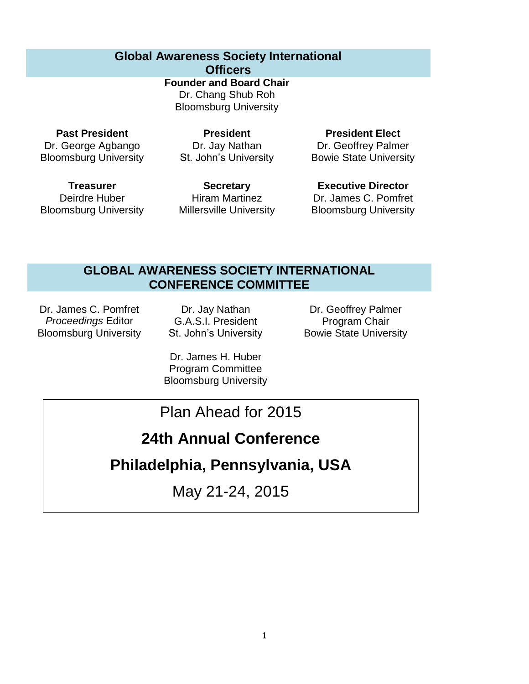## **Global Awareness Society International**

**Officers**

**Founder and Board Chair** Dr. Chang Shub Roh Bloomsburg University

**Past President** Dr. George Agbango Bloomsburg University

**President** Dr. Jay Nathan St. John's University

**President Elect** Dr. Geoffrey Palmer Bowie State University

**Treasurer** Deirdre Huber Bloomsburg University

**Secretary** Hiram Martinez Millersville University

**Executive Director** Dr. James C. Pomfret Bloomsburg University

## **GLOBAL AWARENESS SOCIETY INTERNATIONAL CONFERENCE COMMITTEE**

Dr. James C. Pomfret *Proceedings* Editor Bloomsburg University

Dr. Jay Nathan G.A.S.I. President St. John's University

Dr. Geoffrey Palmer Program Chair Bowie State University

Dr. James H. Huber Program Committee Bloomsburg University

## Plan Ahead for 2015

## **24th Annual Conference**

## **Philadelphia, Pennsylvania, USA**

May 21-24, 2015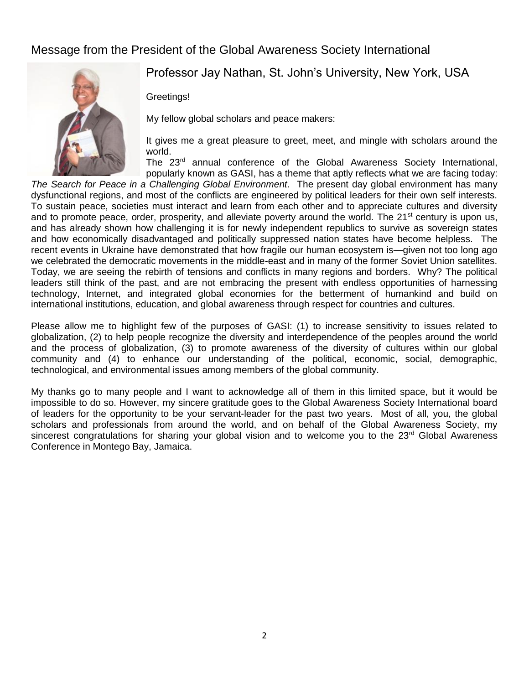### Message from the President of the Global Awareness Society International



Professor Jay Nathan, St. John's University, New York, USA

Greetings!

My fellow global scholars and peace makers:

It gives me a great pleasure to greet, meet, and mingle with scholars around the world.

The 23<sup>rd</sup> annual conference of the Global Awareness Society International, popularly known as GASI, has a theme that aptly reflects what we are facing today:

*The Search for Peace in a Challenging Global Environment*. The present day global environment has many dysfunctional regions, and most of the conflicts are engineered by political leaders for their own self interests. To sustain peace, societies must interact and learn from each other and to appreciate cultures and diversity and to promote peace, order, prosperity, and alleviate poverty around the world. The  $21^{st}$  century is upon us, and has already shown how challenging it is for newly independent republics to survive as sovereign states and how economically disadvantaged and politically suppressed nation states have become helpless. The recent events in Ukraine have demonstrated that how fragile our human ecosystem is—given not too long ago we celebrated the democratic movements in the middle-east and in many of the former Soviet Union satellites. Today, we are seeing the rebirth of tensions and conflicts in many regions and borders. Why? The political leaders still think of the past, and are not embracing the present with endless opportunities of harnessing technology, Internet, and integrated global economies for the betterment of humankind and build on international institutions, education, and global awareness through respect for countries and cultures.

Please allow me to highlight few of the purposes of GASI: (1) to increase sensitivity to issues related to globalization, (2) to help people recognize the diversity and interdependence of the peoples around the world and the process of globalization, (3) to promote awareness of the diversity of cultures within our global community and (4) to enhance our understanding of the political, economic, social, demographic, technological, and environmental issues among members of the global community.

My thanks go to many people and I want to acknowledge all of them in this limited space, but it would be impossible to do so. However, my sincere gratitude goes to the Global Awareness Society International board of leaders for the opportunity to be your servant-leader for the past two years. Most of all, you, the global scholars and professionals from around the world, and on behalf of the Global Awareness Society, my sincerest congratulations for sharing your global vision and to welcome you to the 23<sup>rd</sup> Global Awareness Conference in Montego Bay, Jamaica.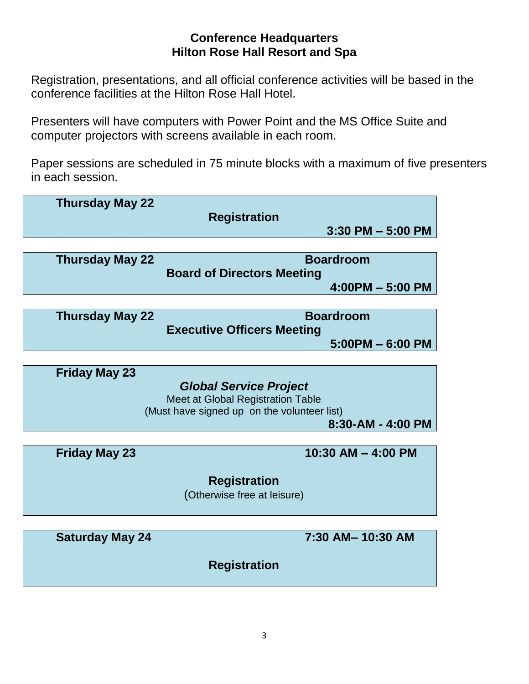## **Conference Headquarters Hilton Rose Hall Resort and Spa**

Registration, presentations, and all official conference activities will be based in the conference facilities at the Hilton Rose Hall Hotel.

Presenters will have computers with Power Point and the MS Office Suite and computer projectors with screens available in each room.

Paper sessions are scheduled in 75 minute blocks with a maximum of five presenters in each session.

| <b>Thursday May 22</b> | <b>Registration</b>                                                                                               | $3:30$ PM $-5:00$ PM                   |
|------------------------|-------------------------------------------------------------------------------------------------------------------|----------------------------------------|
|                        |                                                                                                                   |                                        |
| <b>Thursday May 22</b> | <b>Board of Directors Meeting</b>                                                                                 | <b>Boardroom</b><br>$4:00PM - 5:00 PM$ |
|                        |                                                                                                                   |                                        |
| <b>Thursday May 22</b> | <b>Executive Officers Meeting</b>                                                                                 | <b>Boardroom</b><br>$5:00PM - 6:00 PM$ |
|                        |                                                                                                                   |                                        |
| <b>Friday May 23</b>   | <b>Global Service Project</b><br>Meet at Global Registration Table<br>(Must have signed up on the volunteer list) | $8:30 - AM - 4:00 PM$                  |
|                        |                                                                                                                   |                                        |
| <b>Friday May 23</b>   |                                                                                                                   | 10:30 AM $-$ 4:00 PM                   |
|                        | <b>Registration</b>                                                                                               |                                        |
|                        |                                                                                                                   |                                        |
|                        | (Otherwise free at leisure)                                                                                       |                                        |
|                        |                                                                                                                   |                                        |
| <b>Saturday May 24</b> |                                                                                                                   | 7:30 AM-10:30 AM                       |
|                        | <b>Registration</b>                                                                                               |                                        |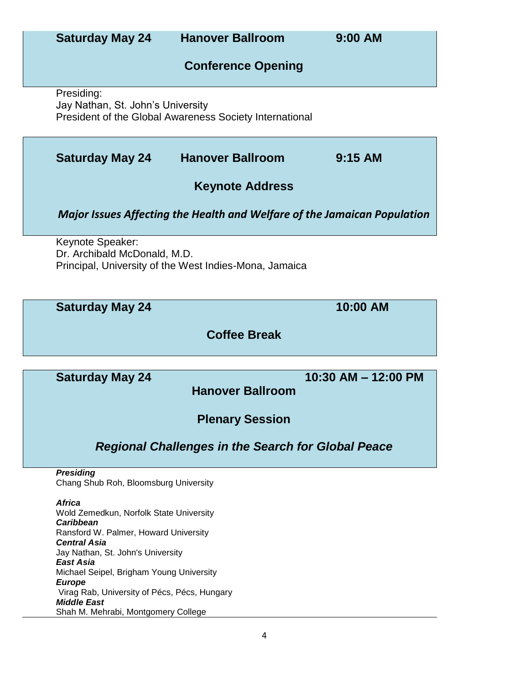| <b>Saturday May 24</b>                                                                                                                                                                                                                                             | <b>Hanover Ballroom</b>                                                         | 9:00 AM             |
|--------------------------------------------------------------------------------------------------------------------------------------------------------------------------------------------------------------------------------------------------------------------|---------------------------------------------------------------------------------|---------------------|
|                                                                                                                                                                                                                                                                    | <b>Conference Opening</b>                                                       |                     |
| Presiding:<br>Jay Nathan, St. John's University                                                                                                                                                                                                                    | <b>President of the Global Awareness Society International</b>                  |                     |
| <b>Saturday May 24</b>                                                                                                                                                                                                                                             | <b>Hanover Ballroom</b>                                                         | $9:15$ AM           |
|                                                                                                                                                                                                                                                                    | <b>Keynote Address</b>                                                          |                     |
|                                                                                                                                                                                                                                                                    | <b>Major Issues Affecting the Health and Welfare of the Jamaican Population</b> |                     |
| Keynote Speaker:<br>Dr. Archibald McDonald, M.D.                                                                                                                                                                                                                   | Principal, University of the West Indies-Mona, Jamaica                          |                     |
| <b>Saturday May 24</b>                                                                                                                                                                                                                                             |                                                                                 | 10:00 AM            |
|                                                                                                                                                                                                                                                                    | <b>Coffee Break</b>                                                             |                     |
| <b>Saturday May 24</b>                                                                                                                                                                                                                                             |                                                                                 | 10:30 AM - 12:00 PM |
|                                                                                                                                                                                                                                                                    | <b>Hanover Ballroom</b>                                                         |                     |
|                                                                                                                                                                                                                                                                    | <b>Plenary Session</b>                                                          |                     |
|                                                                                                                                                                                                                                                                    | <b>Regional Challenges in the Search for Global Peace</b>                       |                     |
| <b>Presiding</b><br>Chang Shub Roh, Bloomsburg University                                                                                                                                                                                                          |                                                                                 |                     |
| <b>Africa</b><br>Wold Zemedkun, Norfolk State University<br><b>Caribbean</b><br>Ransford W. Palmer, Howard University<br><b>Central Asia</b><br>Jay Nathan, St. John's University<br><b>East Asia</b><br>Michael Seipel, Brigham Young University<br><b>Europe</b> |                                                                                 |                     |
| Virag Rab, University of Pécs, Pécs, Hungary<br><b>Middle East</b><br>Shah M. Mehrabi, Montgomery College                                                                                                                                                          |                                                                                 |                     |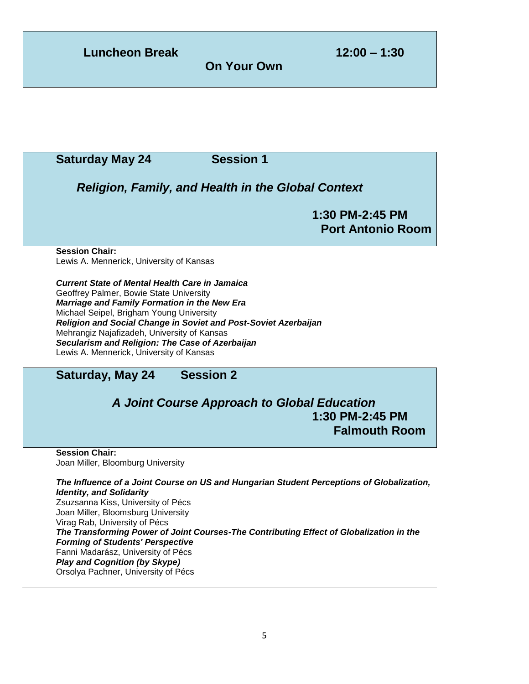**Luncheon Break 12:00 – 1:30**

**On Your Own**

### **Saturday May 24 Session 1**

*Religion, Family, and Health in the Global Context*

**1:30 PM-2:45 PM Port Antonio Room**

#### **Session Chair:**

Lewis A. Mennerick, University of Kansas

*Current State of Mental Health Care in Jamaica* Geoffrey Palmer, Bowie State University *Marriage and Family Formation in the New Era* Michael Seipel, Brigham Young University *Religion and Social Change in Soviet and Post-Soviet Azerbaijan* Mehrangiz Najafizadeh, University of Kansas *Secularism and Religion: The Case of Azerbaijan* Lewis A. Mennerick, University of Kansas

## **Saturday, May 24 Session 2**

## *A Joint Course Approach to Global Education* **1:30 PM-2:45 PM Falmouth Room**

**Session Chair:** Joan Miller, Bloomburg University

*The Influence of a Joint Course on US and Hungarian Student Perceptions of Globalization, Identity, and Solidarity* Zsuzsanna Kiss, University of Pécs Joan Miller, Bloomsburg University Virag Rab, University of Pécs *The Transforming Power of Joint Courses-The Contributing Effect of Globalization in the Forming of Students' Perspective* Fanni Madarász, University of Pécs *Play and Cognition (by Skype)* Orsolya Pachner, University of Pécs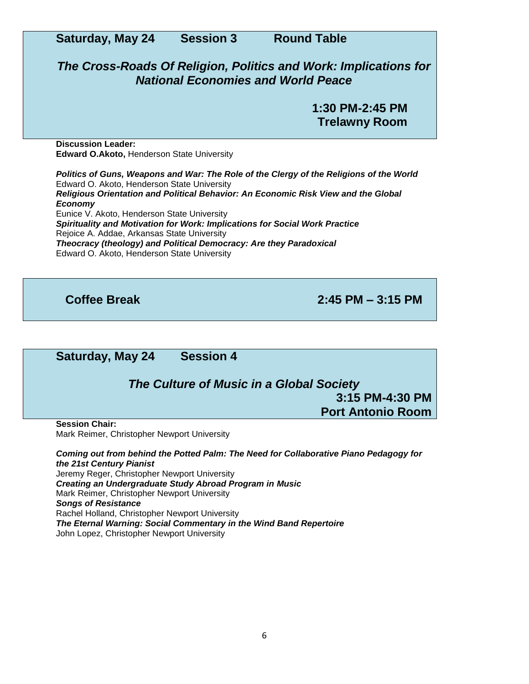| <b>Saturday, May 24</b>                                                                                                                                                                                                                                                                                                                                         | <b>Session 3</b> | <b>Round Table</b>                                                                                                                                                            |
|-----------------------------------------------------------------------------------------------------------------------------------------------------------------------------------------------------------------------------------------------------------------------------------------------------------------------------------------------------------------|------------------|-------------------------------------------------------------------------------------------------------------------------------------------------------------------------------|
|                                                                                                                                                                                                                                                                                                                                                                 |                  | The Cross-Roads Of Religion, Politics and Work: Implications for<br><b>National Economies and World Peace</b>                                                                 |
|                                                                                                                                                                                                                                                                                                                                                                 |                  | 1:30 PM-2:45 PM<br><b>Trelawny Room</b>                                                                                                                                       |
| <b>Discussion Leader:</b><br><b>Edward O.Akoto, Henderson State University</b>                                                                                                                                                                                                                                                                                  |                  |                                                                                                                                                                               |
| Edward O. Akoto, Henderson State University<br><b>Economy</b><br>Eunice V. Akoto, Henderson State University<br>Spirituality and Motivation for Work: Implications for Social Work Practice<br>Rejoice A. Addae, Arkansas State University<br>Theocracy (theology) and Political Democracy: Are they Paradoxical<br>Edward O. Akoto, Henderson State University |                  | Politics of Guns, Weapons and War: The Role of the Clergy of the Religions of the World<br>Religious Orientation and Political Behavior: An Economic Risk View and the Global |

**Coffee Break 2:45 PM – 3:15 PM**

**Saturday, May 24 Session 4** *The Culture of Music in a Global Society* **3:15 PM-4:30 PM Port Antonio Room Session Chair:** Mark Reimer, Christopher Newport University *Coming out from behind the Potted Palm: The Need for Collaborative Piano Pedagogy for the 21st Century Pianist* Jeremy Reger, Christopher Newport University

*Creating an Undergraduate Study Abroad Program in Music* Mark Reimer, Christopher Newport University *Songs of Resistance* Rachel Holland, Christopher Newport University *The Eternal Warning: Social Commentary in the Wind Band Repertoire* John Lopez, Christopher Newport University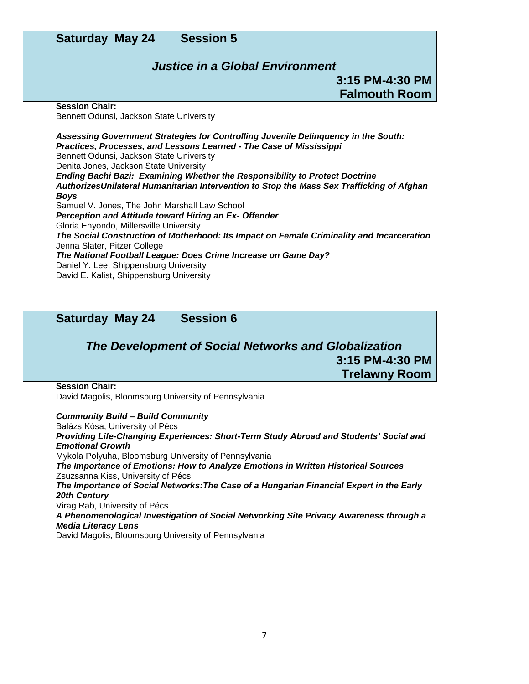### **Saturday May 24 Session 5**

#### *Justice in a Global Environment*

**3:15 PM-4:30 PM Falmouth Room**

**Session Chair:** Bennett Odunsi, Jackson State University

*Assessing Government Strategies for Controlling Juvenile Delinquency in the South: Practices, Processes, and Lessons Learned - The Case of Mississippi* Bennett Odunsi, Jackson State University Denita Jones, Jackson State University *Ending Bachi Bazi: Examining Whether the Responsibility to Protect Doctrine AuthorizesUnilateral Humanitarian Intervention to Stop the Mass Sex Trafficking of Afghan Boys* Samuel V. Jones, The John Marshall Law School *Perception and Attitude toward Hiring an Ex- Offender* Gloria Enyondo, Millersville University *The Social Construction of Motherhood: Its Impact on Female Criminality and Incarceration* Jenna Slater, Pitzer College *The National Football League: Does Crime Increase on Game Day?* Daniel Y. Lee, Shippensburg University David E. Kalist, Shippensburg University

**Saturday May 24 Session 6**

### *The Development of Social Networks and Globalization* **3:15 PM-4:30 PM Trelawny Room**

**Session Chair:**

David Magolis, Bloomsburg University of Pennsylvania

*Community Build – Build Community* Balázs Kósa, University of Pécs *Providing Life-Changing Experiences: Short-Term Study Abroad and Students' Social and Emotional Growth* Mykola Polyuha, Bloomsburg University of Pennsylvania *The Importance of Emotions: How to Analyze Emotions in Written Historical Sources* Zsuzsanna Kiss, University of Pécs *The Importance of Social Networks:The Case of a Hungarian Financial Expert in the Early 20th Century* Virag Rab, University of Pécs *A Phenomenological Investigation of Social Networking Site Privacy Awareness through a Media Literacy Lens* David Magolis, Bloomsburg University of Pennsylvania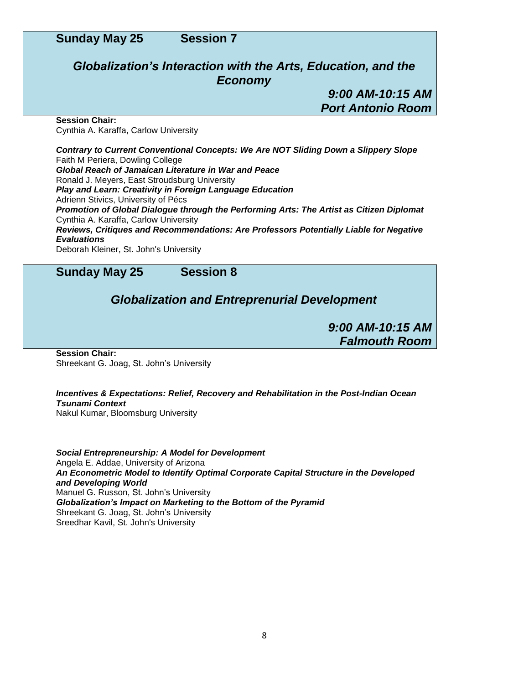### *Globalization's Interaction with the Arts, Education, and the Economy*

*9:00 AM-10:15 AM Port Antonio Room*

**Session Chair:** Cynthia A. Karaffa, Carlow University

*Contrary to Current Conventional Concepts: We Are NOT Sliding Down a Slippery Slope* Faith M Periera, Dowling College *Global Reach of Jamaican Literature in War and Peace* Ronald J. Meyers, East Stroudsburg University *Play and Learn: Creativity in Foreign Language Education* Adrienn Stivics, University of Pécs *Promotion of Global Dialogue through the Performing Arts: The Artist as Citizen Diplomat* Cynthia A. Karaffa, Carlow University *Reviews, Critiques and Recommendations: Are Professors Potentially Liable for Negative Evaluations* Deborah Kleiner, St. John's University

**Sunday May 25 Session 8**

## *Globalization and Entreprenurial Development*

*9:00 AM-10:15 AM Falmouth Room*

**Session Chair:** Shreekant G. Joag, St. John's University

#### *Incentives & Expectations: Relief, Recovery and Rehabilitation in the Post-Indian Ocean Tsunami Context*

Nakul Kumar, Bloomsburg University

*Social Entrepreneurship: A Model for Development* Angela E. Addae, University of Arizona *An Econometric Model to Identify Optimal Corporate Capital Structure in the Developed and Developing World* Manuel G. Russon, St. John's University *Globalization's Impact on Marketing to the Bottom of the Pyramid* Shreekant G. Joag, St. John's University Sreedhar Kavil, St. John's University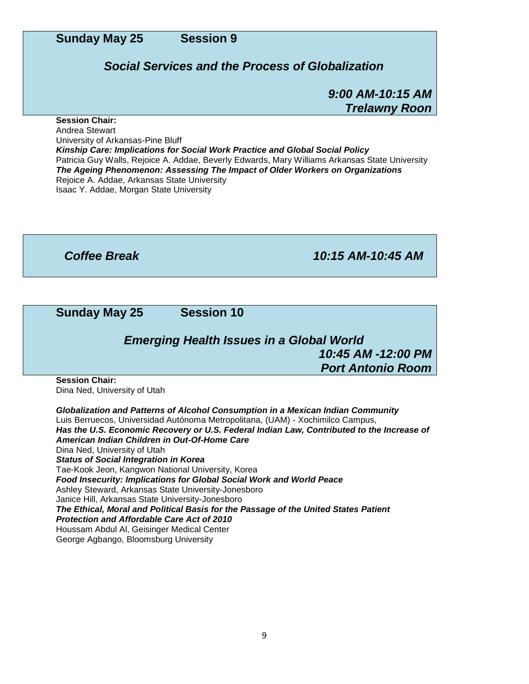#### *Social Services and the Process of Globalization*

*9:00 AM-10:15 AM Trelawny Roon*

#### **Session Chair:**

Andrea Stewart University of Arkansas-Pine Bluff *Kinship Care: Implications for Social Work Practice and Global Social Policy* Patricia Guy Walls, Rejoice A. Addae, Beverly Edwards, Mary Williams Arkansas State University *The Ageing Phenomenon: Assessing The Impact of Older Workers on Organizations* Rejoice A. Addae, Arkansas State University Isaac Y. Addae, Morgan State University

*Coffee Break 10:15 AM-10:45 AM*

**Sunday May 25 Session 10**

## *Emerging Health Issues in a Global World 10:45 AM -12:00 PM Port Antonio Room*

**Session Chair:** Dina Ned, University of Utah

*Globalization and Patterns of Alcohol Consumption in a Mexican Indian Community* Luis Berruecos, Universidad Autónoma Metropolitana, (UAM) - Xochimilco Campus, *Has the U.S. Economic Recovery or U.S. Federal Indian Law, Contributed to the Increase of American Indian Children in Out-Of-Home Care* Dina Ned, University of Utah *Status of Social Integration in Korea* Tae-Kook Jeon, Kangwon National University, Korea *Food Insecurity: Implications for Global Social Work and World Peace* Ashley Steward, Arkansas State University-Jonesboro Janice Hill, Arkansas State University-Jonesboro *The Ethical, Moral and Political Basis for the Passage of the United States Patient Protection and Affordable Care Act of 2010* Houssam Abdul Al, Geisinger Medical Center George Agbango, Bloomsburg University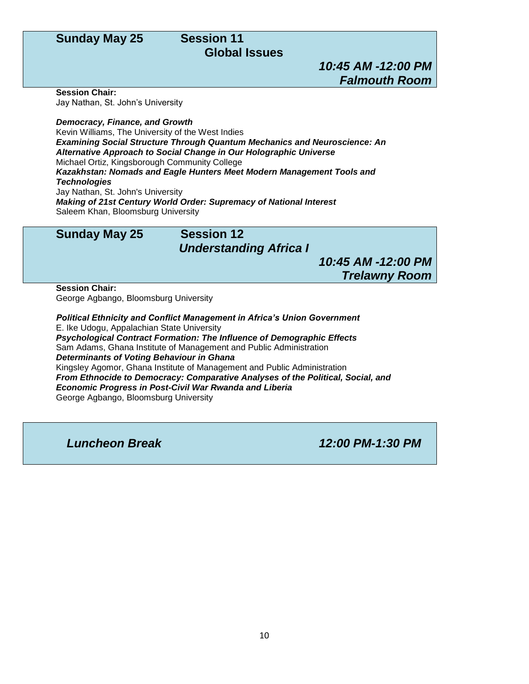## **Global Issues**

*10:45 AM -12:00 PM Falmouth Room*

**Session Chair:**

Jay Nathan, St. John's University

*Democracy, Finance, and Growth* Kevin Williams, The University of the West Indies *Examining Social Structure Through Quantum Mechanics and Neuroscience: An Alternative Approach to Social Change in Our Holographic Universe* Michael Ortiz, Kingsborough Community College *Kazakhstan: Nomads and Eagle Hunters Meet Modern Management Tools and Technologies* Jay Nathan, St. John's University *Making of 21st Century World Order: Supremacy of National Interest*

Saleem Khan, Bloomsburg University

## **Sunday May 25 Session 12**

#### *Understanding Africa I*

*10:45 AM -12:00 PM Trelawny Room*

**Session Chair:**

George Agbango, Bloomsburg University

*Political Ethnicity and Conflict Management in Africa's Union Government* E. Ike Udogu, Appalachian State University *Psychological Contract Formation: The Influence of Demographic Effects* Sam Adams, Ghana Institute of Management and Public Administration *Determinants of Voting Behaviour in Ghana* Kingsley Agomor, Ghana Institute of Management and Public Administration *From Ethnocide to Democracy: Comparative Analyses of the Political, Social, and Economic Progress in Post-Civil War Rwanda and Liberia* George Agbango, Bloomsburg University

*Luncheon Break 12:00 PM-1:30 PM*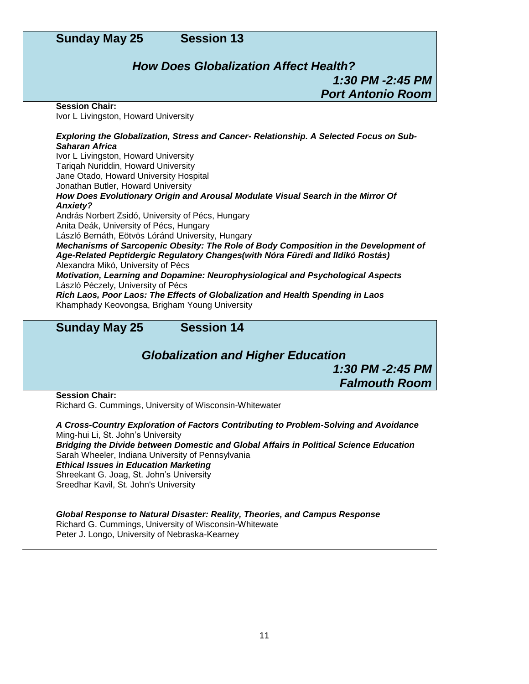## *How Does Globalization Affect Health? 1:30 PM -2:45 PM Port Antonio Room*

#### **Session Chair:**

Ivor L Livingston, Howard University

#### *Exploring the Globalization, Stress and Cancer- Relationship. A Selected Focus on Sub-Saharan Africa*

Ivor L Livingston, Howard University Tariqah Nuriddin, Howard University Jane Otado, Howard University Hospital Jonathan Butler, Howard University *How Does Evolutionary Origin and Arousal Modulate Visual Search in the Mirror Of Anxiety?* András Norbert Zsidó, University of Pécs, Hungary Anita Deák, University of Pécs, Hungary László Bernáth, Eötvös Lóránd University, Hungary *Mechanisms of Sarcopenic Obesity: The Role of Body Composition in the Development of Age-Related Peptidergic Regulatory Changes(with Nóra Füredi and Ildikó Rostás)* Alexandra Mikó, University of Pécs *Motivation, Learning and Dopamine: Neurophysiological and Psychological Aspects* László Péczely, University of Pécs *Rich Laos, Poor Laos: The Effects of Globalization and Health Spending in Laos* Khamphady Keovongsa, Brigham Young University

#### **Sunday May 25 Session 14**

*Globalization and Higher Education*

*1:30 PM -2:45 PM Falmouth Room*

**Session Chair:** Richard G. Cummings, University of Wisconsin-Whitewater

*A Cross-Country Exploration of Factors Contributing to Problem-Solving and Avoidance* Ming-hui Li, St. John's University

*Bridging the Divide between Domestic and Global Affairs in Political Science Education* Sarah Wheeler, Indiana University of Pennsylvania

#### *Ethical Issues in Education Marketing*

Shreekant G. Joag, St. John's University Sreedhar Kavil, St. John's University

*Global Response to Natural Disaster: Reality, Theories, and Campus Response* Richard G. Cummings, University of Wisconsin-Whitewate Peter J. Longo, University of Nebraska-Kearney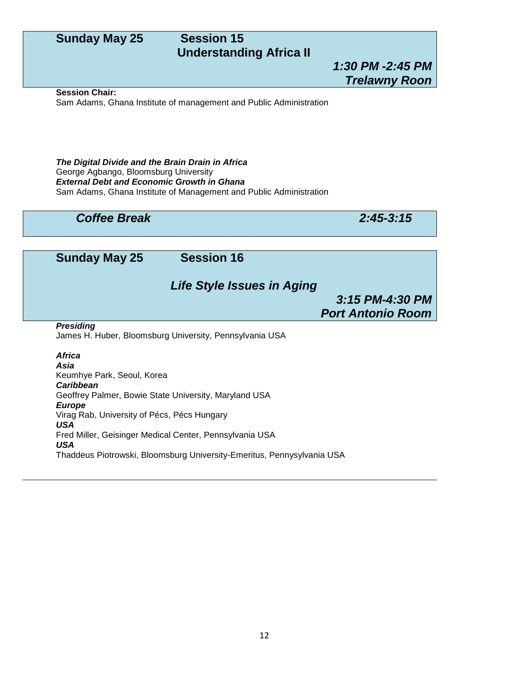## **Understanding Africa II**

## *1:30 PM -2:45 PM Trelawny Roon*

#### **Session Chair:**

Sam Adams, Ghana Institute of management and Public Administration

*The Digital Divide and the Brain Drain in Africa* George Agbango, Bloomsburg University *External Debt and Economic Growth in Ghana* Sam Adams, Ghana Institute of Management and Public Administration

#### *Coffee Break 2:45-3:15*

**Sunday May 25 Session 16** *Life Style Issues in Aging 3:15 PM-4:30 PM Port Antonio Room Presiding*

James H. Huber, Bloomsburg University, Pennsylvania USA

*Africa Asia* Keumhye Park, Seoul, Korea *Caribbean* Geoffrey Palmer, Bowie State University, Maryland USA *Europe* Virag Rab, University of Pécs, Pécs Hungary *USA* Fred Miller, Geisinger Medical Center, Pennsylvania USA *USA* Thaddeus Piotrowski, Bloomsburg University-Emeritus, Pennysylvania USA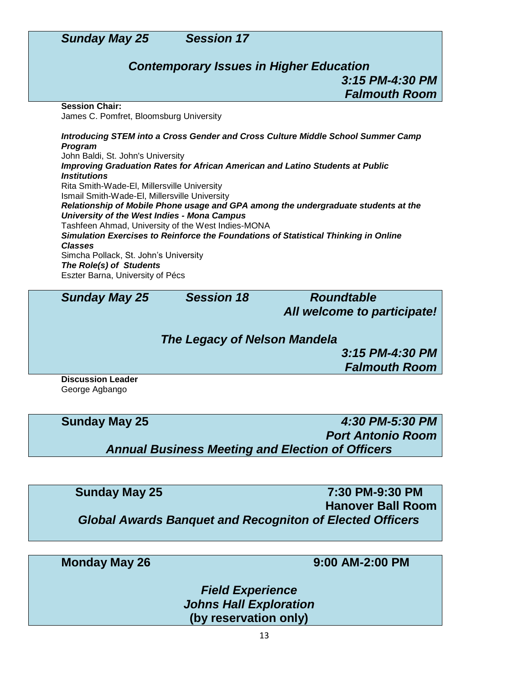

## *Contemporary Issues in Higher Education 3:15 PM-4:30 PM Falmouth Room*

**Session Chair:**

James C. Pomfret, Bloomsburg University

*Introducing STEM into a Cross Gender and Cross Culture Middle School Summer Camp Program* John Baldi, St. John's University

*Improving Graduation Rates for African American and Latino Students at Public Institutions* Rita Smith-Wade-El, Millersville University Ismail Smith-Wade-El, Millersville University *Relationship of Mobile Phone usage and GPA among the undergraduate students at the University of the West Indies - Mona Campus* Tashfeen Ahmad, University of the West Indies-MONA *Simulation Exercises to Reinforce the Foundations of Statistical Thinking in Online Classes* Simcha Pollack, St. John's University *The Role(s) of Students* Eszter Barna, University of Pécs

*Sunday May 25 Session 18 Roundtable*

*All welcome to participate!*

*The Legacy of Nelson Mandela*

*3:15 PM-4:30 PM Falmouth Room*

**Discussion Leader** George Agbango

**Sunday May 25** *4:30 PM-5:30 PM Port Antonio Room Annual Business Meeting and Election of Officers*

**Sunday May 25 7:30 PM-9:30 PM Hanover Ball Room** *Global Awards Banquet and Recogniton of Elected Officers*

**Monday May 26 9:00 AM-2:00 PM**

*Field Experience Johns Hall Exploration* **(by reservation only)**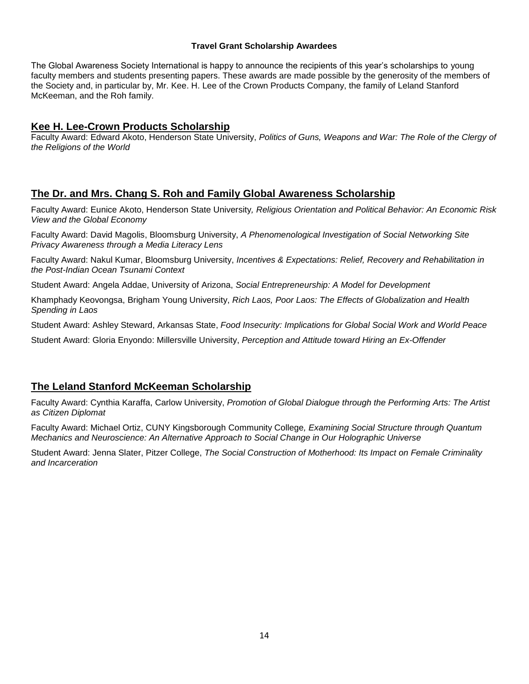#### **Travel Grant Scholarship Awardees**

The Global Awareness Society International is happy to announce the recipients of this year's scholarships to young faculty members and students presenting papers. These awards are made possible by the generosity of the members of the Society and, in particular by, Mr. Kee. H. Lee of the Crown Products Company, the family of Leland Stanford McKeeman, and the Roh family.

#### **Kee H. Lee-Crown Products Scholarship**

Faculty Award: Edward Akoto, Henderson State University, *Politics of Guns, Weapons and War: The Role of the Clergy of the Religions of the World*

#### **The Dr. and Mrs. Chang S. Roh and Family Global Awareness Scholarship**

Faculty Award: Eunice Akoto, Henderson State University*, Religious Orientation and Political Behavior: An Economic Risk View and the Global Economy*

Faculty Award: David Magolis, Bloomsburg University, *A Phenomenological Investigation of Social Networking Site Privacy Awareness through a Media Literacy Lens*

Faculty Award: Nakul Kumar, Bloomsburg University, *Incentives & Expectations: Relief, Recovery and Rehabilitation in the Post-Indian Ocean Tsunami Context*

Student Award: Angela Addae, University of Arizona, *Social Entrepreneurship: A Model for Development*

Khamphady Keovongsa, Brigham Young University, *Rich Laos, Poor Laos: The Effects of Globalization and Health Spending in Laos*

Student Award: Ashley Steward, Arkansas State, *Food Insecurity: Implications for Global Social Work and World Peace*

Student Award: Gloria Enyondo: Millersville University, *Perception and Attitude toward Hiring an Ex-Offender*

#### **The Leland Stanford McKeeman Scholarship**

Faculty Award: Cynthia Karaffa, Carlow University, *Promotion of Global Dialogue through the Performing Arts: The Artist as Citizen Diplomat*

Faculty Award: Michael Ortiz, CUNY Kingsborough Community College*, Examining Social Structure through Quantum Mechanics and Neuroscience: An Alternative Approach to Social Change in Our Holographic Universe*

Student Award: Jenna Slater, Pitzer College, *The Social Construction of Motherhood: Its Impact on Female Criminality and Incarceration*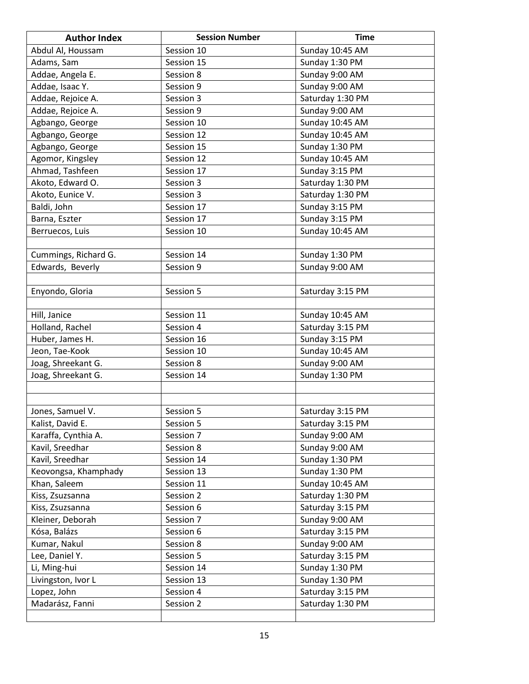| <b>Author Index</b>  | <b>Session Number</b> | <b>Time</b>      |
|----------------------|-----------------------|------------------|
| Abdul Al, Houssam    | Session 10            | Sunday 10:45 AM  |
| Adams, Sam           | Session 15            | Sunday 1:30 PM   |
| Addae, Angela E.     | Session 8             | Sunday 9:00 AM   |
| Addae, Isaac Y.      | Session 9             | Sunday 9:00 AM   |
| Addae, Rejoice A.    | Session 3             | Saturday 1:30 PM |
| Addae, Rejoice A.    | Session 9             | Sunday 9:00 AM   |
| Agbango, George      | Session 10            | Sunday 10:45 AM  |
| Agbango, George      | Session 12            | Sunday 10:45 AM  |
| Agbango, George      | Session 15            | Sunday 1:30 PM   |
| Agomor, Kingsley     | Session 12            | Sunday 10:45 AM  |
| Ahmad, Tashfeen      | Session 17            | Sunday 3:15 PM   |
| Akoto, Edward O.     | Session 3             | Saturday 1:30 PM |
| Akoto, Eunice V.     | Session 3             | Saturday 1:30 PM |
| Baldi, John          | Session 17            | Sunday 3:15 PM   |
| Barna, Eszter        | Session 17            | Sunday 3:15 PM   |
| Berruecos, Luis      | Session 10            | Sunday 10:45 AM  |
|                      |                       |                  |
| Cummings, Richard G. | Session 14            | Sunday 1:30 PM   |
| Edwards, Beverly     | Session 9             | Sunday 9:00 AM   |
|                      |                       |                  |
| Enyondo, Gloria      | Session 5             | Saturday 3:15 PM |
|                      |                       |                  |
| Hill, Janice         | Session 11            | Sunday 10:45 AM  |
| Holland, Rachel      | Session 4             | Saturday 3:15 PM |
| Huber, James H.      | Session 16            | Sunday 3:15 PM   |
| Jeon, Tae-Kook       | Session 10            | Sunday 10:45 AM  |
| Joag, Shreekant G.   | Session 8             | Sunday 9:00 AM   |
| Joag, Shreekant G.   | Session 14            | Sunday 1:30 PM   |
|                      |                       |                  |
|                      |                       |                  |
| Jones, Samuel V.     | Session 5             | Saturday 3:15 PM |
| Kalist, David E.     | Session 5             | Saturday 3:15 PM |
| Karaffa, Cynthia A.  | Session 7             | Sunday 9:00 AM   |
| Kavil, Sreedhar      | Session 8             | Sunday 9:00 AM   |
| Kavil, Sreedhar      | Session 14            | Sunday 1:30 PM   |
| Keovongsa, Khamphady | Session 13            | Sunday 1:30 PM   |
| Khan, Saleem         | Session 11            | Sunday 10:45 AM  |
| Kiss, Zsuzsanna      | Session 2             | Saturday 1:30 PM |
| Kiss, Zsuzsanna      | Session 6             | Saturday 3:15 PM |
| Kleiner, Deborah     | Session 7             | Sunday 9:00 AM   |
| Kósa, Balázs         | Session 6             | Saturday 3:15 PM |
| Kumar, Nakul         | Session 8             | Sunday 9:00 AM   |
| Lee, Daniel Y.       | Session 5             | Saturday 3:15 PM |
| Li, Ming-hui         | Session 14            | Sunday 1:30 PM   |
| Livingston, Ivor L   | Session 13            | Sunday 1:30 PM   |
| Lopez, John          | Session 4             | Saturday 3:15 PM |
| Madarász, Fanni      | Session 2             | Saturday 1:30 PM |
|                      |                       |                  |
|                      |                       |                  |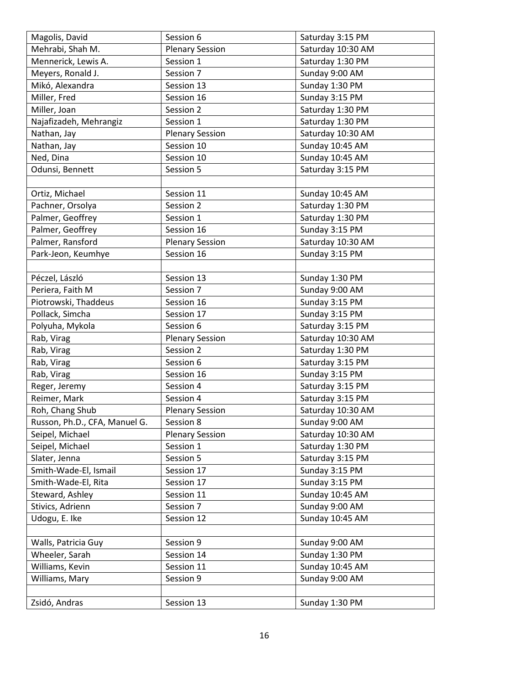| Magolis, David                | Session 6              | Saturday 3:15 PM  |
|-------------------------------|------------------------|-------------------|
| Mehrabi, Shah M.              | <b>Plenary Session</b> | Saturday 10:30 AM |
| Mennerick, Lewis A.           | Session 1              | Saturday 1:30 PM  |
| Meyers, Ronald J.             | Session 7              | Sunday 9:00 AM    |
| Mikó, Alexandra               | Session 13             | Sunday 1:30 PM    |
| Miller, Fred                  | Session 16             | Sunday 3:15 PM    |
| Miller, Joan                  | Session 2              | Saturday 1:30 PM  |
| Najafizadeh, Mehrangiz        | Session 1              | Saturday 1:30 PM  |
| Nathan, Jay                   | <b>Plenary Session</b> | Saturday 10:30 AM |
| Nathan, Jay                   | Session 10             | Sunday 10:45 AM   |
| Ned, Dina                     | Session 10             | Sunday 10:45 AM   |
| Odunsi, Bennett               | Session 5              | Saturday 3:15 PM  |
|                               |                        |                   |
| Ortiz, Michael                | Session 11             | Sunday 10:45 AM   |
| Pachner, Orsolya              | Session 2              | Saturday 1:30 PM  |
| Palmer, Geoffrey              | Session 1              | Saturday 1:30 PM  |
| Palmer, Geoffrey              | Session 16             | Sunday 3:15 PM    |
| Palmer, Ransford              | <b>Plenary Session</b> | Saturday 10:30 AM |
| Park-Jeon, Keumhye            | Session 16             | Sunday 3:15 PM    |
|                               |                        |                   |
| Péczel, László                | Session 13             | Sunday 1:30 PM    |
| Periera, Faith M              | Session 7              | Sunday 9:00 AM    |
| Piotrowski, Thaddeus          | Session 16             | Sunday 3:15 PM    |
| Pollack, Simcha               | Session 17             | Sunday 3:15 PM    |
| Polyuha, Mykola               | Session 6              | Saturday 3:15 PM  |
| Rab, Virag                    | <b>Plenary Session</b> | Saturday 10:30 AM |
| Rab, Virag                    | Session 2              | Saturday 1:30 PM  |
| Rab, Virag                    | Session 6              | Saturday 3:15 PM  |
| Rab, Virag                    | Session 16             | Sunday 3:15 PM    |
| Reger, Jeremy                 | Session 4              | Saturday 3:15 PM  |
| Reimer, Mark                  | Session 4              | Saturday 3:15 PM  |
| Roh, Chang Shub               | <b>Plenary Session</b> | Saturday 10:30 AM |
| Russon, Ph.D., CFA, Manuel G. | Session 8              | Sunday 9:00 AM    |
| Seipel, Michael               | <b>Plenary Session</b> | Saturday 10:30 AM |
| Seipel, Michael               | Session 1              | Saturday 1:30 PM  |
| Slater, Jenna                 | Session 5              | Saturday 3:15 PM  |
| Smith-Wade-El, Ismail         | Session 17             | Sunday 3:15 PM    |
| Smith-Wade-El, Rita           | Session 17             | Sunday 3:15 PM    |
| Steward, Ashley               | Session 11             | Sunday 10:45 AM   |
| Stivics, Adrienn              | Session 7              | Sunday 9:00 AM    |
| Udogu, E. Ike                 | Session 12             | Sunday 10:45 AM   |
|                               |                        |                   |
| Walls, Patricia Guy           | Session 9              | Sunday 9:00 AM    |
| Wheeler, Sarah                | Session 14             | Sunday 1:30 PM    |
| Williams, Kevin               | Session 11             | Sunday 10:45 AM   |
| Williams, Mary                | Session 9              | Sunday 9:00 AM    |
|                               |                        |                   |
| Zsidó, Andras                 | Session 13             | Sunday 1:30 PM    |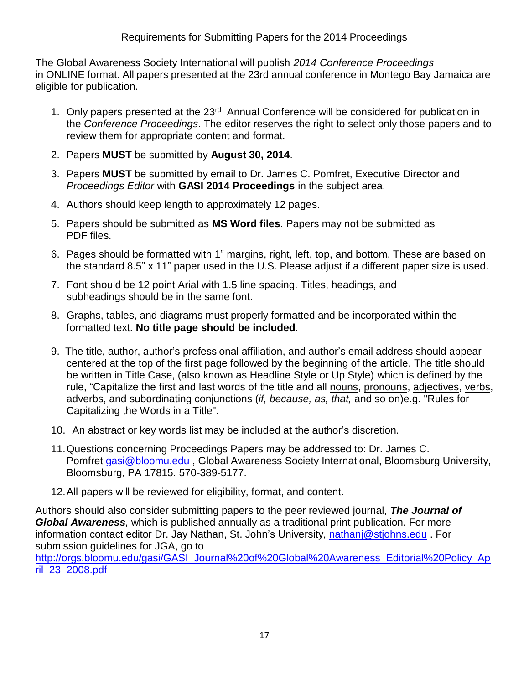The Global Awareness Society International will publish *2014 Conference Proceedings* in ONLINE format. All papers presented at the 23rd annual conference in Montego Bay Jamaica are eligible for publication.

- 1. Only papers presented at the 23<sup>rd</sup> Annual Conference will be considered for publication in the *Conference Proceedings*. The editor reserves the right to select only those papers and to review them for appropriate content and format.
- 2. Papers **MUST** be submitted by **August 30, 2014**.
- 3. Papers **MUST** be submitted by email to Dr. James C. Pomfret, Executive Director and *Proceedings Editor* with **GASI 2014 Proceedings** in the subject area.
- 4. Authors should keep length to approximately 12 pages.
- 5. Papers should be submitted as **MS Word files**. Papers may not be submitted as PDF files.
- 6. Pages should be formatted with 1" margins, right, left, top, and bottom. These are based on the standard 8.5" x 11" paper used in the U.S. Please adjust if a different paper size is used.
- 7. Font should be 12 point Arial with 1.5 line spacing. Titles, headings, and subheadings should be in the same font.
- 8. Graphs, tables, and diagrams must properly formatted and be incorporated within the formatted text. **No title page should be included**.
- 9. The title, author, author's professional affiliation, and author's email address should appear centered at the top of the first page followed by the beginning of the article. The title should be written in Title Case, (also known as Headline Style or Up Style) which is defined by the rule, "Capitalize the first and last words of the title and all [nouns,](http://grammar.about.com/od/mo/g/nounterm.htm) [pronouns,](http://grammar.about.com/od/pq/g/pronounterm.htm) [adjectives,](http://grammar.about.com/od/ab/g/adjecterm.htm) [verbs,](http://grammar.about.com/od/tz/g/verbterm.htm) [adverbs,](http://grammar.about.com/od/ab/g/adverbterm.htm) and [subordinating](http://grammar.about.com/od/rs/g/subordconj.htm) conjunctions (*if, because, as, that,* and so on)e.g. "Rules for Capitalizing the Words in a Title".
- 10. An abstract or key words list may be included at the author's discretion.
- 11.Questions concerning Proceedings Papers may be addressed to: Dr. James C. Pomfret [gasi@bloomu.edu](mailto:gasi@bloomu.edu), Global Awareness Society International, Bloomsburg University, Bloomsburg, PA 17815. 570-389-5177.
- 12.All papers will be reviewed for eligibility, format, and content.

Authors should also consider submitting papers to the peer reviewed journal, *The Journal of Global Awareness,* which is published annually as a traditional print publication. For more information contact editor Dr. Jay Nathan, St. John's University, [nathanj@stjohns.edu](mailto:nathanj@stjohns.edu) . For submission guidelines for JGA, go to

[http://orgs.bloomu.edu/gasi/GASI\\_Journal%20of%20Global%20Awareness\\_Editorial%20Policy\\_Ap](http://orgs.bloomu.edu/gasi/GASI_Journal%20of%20Global%20Awareness_Editorial%20Policy_April_23_2008.pdf) [ril\\_23\\_2008.pdf](http://orgs.bloomu.edu/gasi/GASI_Journal%20of%20Global%20Awareness_Editorial%20Policy_April_23_2008.pdf)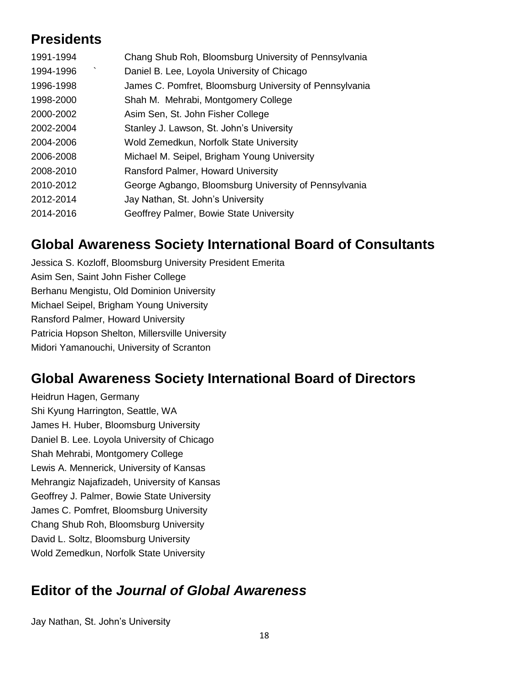## **Presidents**

| 1991-1994 | Chang Shub Roh, Bloomsburg University of Pennsylvania   |
|-----------|---------------------------------------------------------|
| 1994-1996 | Daniel B. Lee, Loyola University of Chicago             |
| 1996-1998 | James C. Pomfret, Bloomsburg University of Pennsylvania |
| 1998-2000 | Shah M. Mehrabi, Montgomery College                     |
| 2000-2002 | Asim Sen, St. John Fisher College                       |
| 2002-2004 | Stanley J. Lawson, St. John's University                |
| 2004-2006 | Wold Zemedkun, Norfolk State University                 |
| 2006-2008 | Michael M. Seipel, Brigham Young University             |
| 2008-2010 | Ransford Palmer, Howard University                      |
| 2010-2012 | George Agbango, Bloomsburg University of Pennsylvania   |
| 2012-2014 | Jay Nathan, St. John's University                       |
| 2014-2016 | Geoffrey Palmer, Bowie State University                 |

## **Global Awareness Society International Board of Consultants**

Jessica S. Kozloff, Bloomsburg University President Emerita Asim Sen, Saint John Fisher College Berhanu Mengistu, Old Dominion University Michael Seipel, Brigham Young University Ransford Palmer, Howard University Patricia Hopson Shelton, Millersville University Midori Yamanouchi, University of Scranton

## **Global Awareness Society International Board of Directors**

Heidrun Hagen, Germany Shi Kyung Harrington, Seattle, WA James H. Huber, Bloomsburg University Daniel B. Lee. Loyola University of Chicago Shah Mehrabi, Montgomery College Lewis A. Mennerick, University of Kansas Mehrangiz Najafizadeh, University of Kansas Geoffrey J. Palmer, Bowie State University James C. Pomfret, Bloomsburg University Chang Shub Roh, Bloomsburg University David L. Soltz, Bloomsburg University Wold Zemedkun, Norfolk State University

## **Editor of the** *Journal of Global Awareness*

Jay Nathan, St. John's University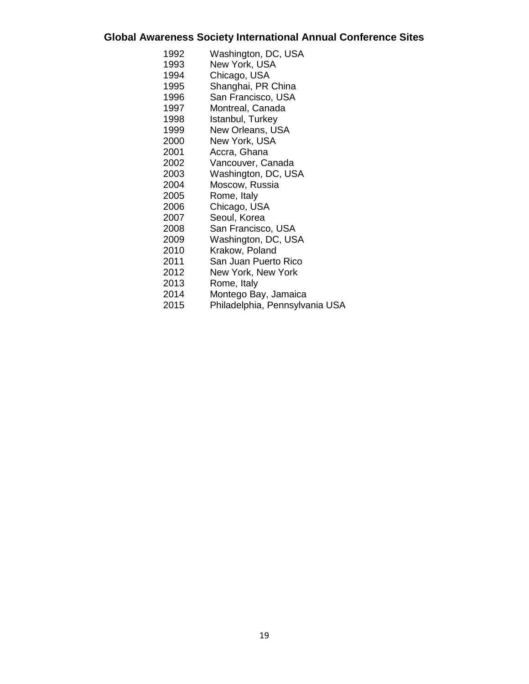## **Global Awareness Society International Annual Conference Sites**

| 1992 | Washington, DC, USA            |
|------|--------------------------------|
| 1993 | New York, USA                  |
| 1994 | Chicago, USA                   |
| 1995 | Shanghai, PR China             |
| 1996 | San Francisco, USA             |
| 1997 | Montreal, Canada               |
| 1998 | Istanbul, Turkey               |
| 1999 | <b>New Orleans, USA</b>        |
| 2000 | New York, USA                  |
| 2001 | Accra, Ghana                   |
| 2002 | Vancouver, Canada              |
| 2003 | Washington, DC, USA            |
| 2004 | Moscow, Russia                 |
| 2005 | Rome, Italy                    |
| 2006 | Chicago, USA                   |
| 2007 | Seoul, Korea                   |
| 2008 | San Francisco, USA             |
| 2009 | Washington, DC, USA            |
| 2010 | Krakow, Poland                 |
| 2011 | San Juan Puerto Rico           |
| 2012 | New York, New York             |
| 2013 | Rome, Italy                    |
| 2014 | Montego Bay, Jamaica           |
| 2015 | Philadelphia, Pennsylvania USA |